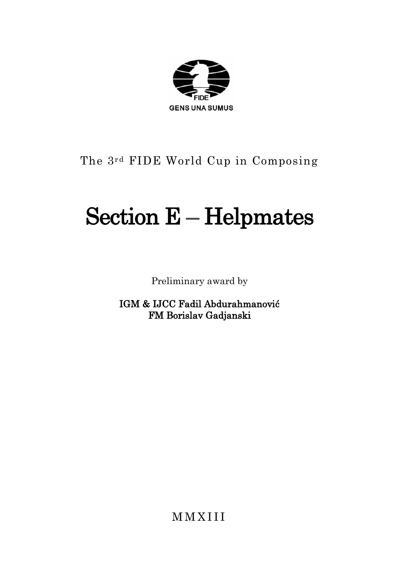

### The 3rd FIDE World Cup in Composing

# Section E – Helpmates

Preliminary award by

IGM & IJCC Fadil Abdurahmanović FM Borislav Gadjanski

M M X I I I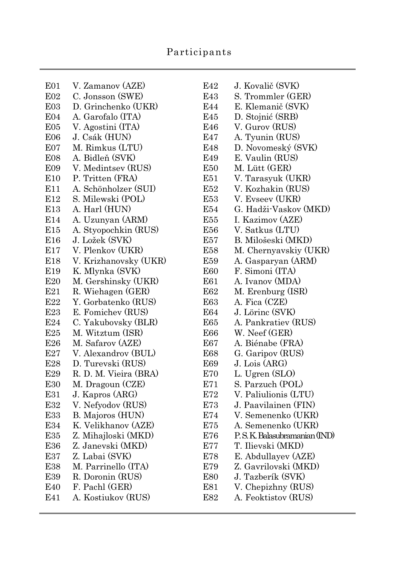#### Participants

| E <sub>01</sub>         | V. Zamanov (AZE)      | E42        | J. Kovalič (SVK)             |
|-------------------------|-----------------------|------------|------------------------------|
| E02                     | C. Jonsson (SWE)      | E43        | S. Trommler (GER)            |
| E03                     | D. Grinchenko (UKR)   | E44        | E. Klemanič (SVK)            |
| E <sub>04</sub>         | A. Garofalo (ITA)     | E45        | D. Stojnić (SRB)             |
| E05                     | V. Agostini (ITA)     | E46        | V. Gurov (RUS)               |
| <b>E06</b>              | J. Csák (HUN)         | E47        | A. Tyunin (RUS)              |
| E <sub>0</sub> 7        | M. Rimkus (LTU)       | E48        | D. Novomeský (SVK)           |
| E08                     | A. Bidleň (SVK)       | E49        | E. Vaulin (RUS)              |
| E09                     | V. Medintsev (RUS)    | <b>E50</b> | M. Lütt (GER)                |
| E10                     | P. Tritten (FRA)      | E51        | V. Tarasyuk (UKR)            |
| E11                     | A. Schönholzer (SUI)  | E52        | V. Kozhakin (RUS)            |
| E12                     | S. Milewski (POL)     | E53        | V. Evseev (UKR)              |
| E13                     | A. Harl (HUN)         | E54        | G. Hadži-Vaskov (MKD)        |
| E14                     | A. Uzunyan (ARM)      | E55        | I. Kazimov (AZE)             |
| E15                     | A. Styopochkin (RUS)  | E56        | V. Satkus (LTU)              |
| E <sub>16</sub>         | J. Ložek (SVK)        | E57        | B. Milošeski (MKD)           |
| E17                     | V. Plenkov (UKR)      | E58        | M. Chernyavskiy (UKR)        |
| E18                     | V. Krizhanovsky (UKR) | E59        | A. Gasparyan (ARM)           |
| E19                     | K. Mlynka (SVK)       | E60        | F. Simoni (ITA)              |
| E20                     | M. Gershinsky (UKR)   | E61        | A. Ivanov (MDA)              |
| E21                     | R. Wiehagen (GER)     | E62        | M. Erenburg (ISR)            |
| E22                     | Y. Gorbatenko (RUS)   | E63        | A. Fica (CZE)                |
| E23                     | E. Fomichev (RUS)     | E64        | J. Lörinc (SVK)              |
| $\mathbf{E}24$          | C. Yakubovsky (BLR)   | E65        | A. Pankratiev (RUS)          |
| E25                     | M. Witztum (ISR)      | E66        | W. Neef (GER)                |
| E <sub>26</sub>         | M. Safarov (AZE)      | E67        | A. Biénabe (FRA)             |
| $\mathop{\mathrm{E27}}$ | V. Alexandrov (BUL)   | E68        | G. Garipov (RUS)             |
| E28                     | D. Turevski (RUS)     | E69        | J. Lois (ARG)                |
| E29                     | R. D. M. Vieira (BRA) | E70        | L. Ugren (SLO)               |
| E30                     | M. Dragoun (CZE)      | E71        | S. Parzuch (POL)             |
| E31                     | J. Kapros (ARG)       | E72        | V. Paliulionis (LTU)         |
| E32                     | V. Nefyodov (RUS)     | E73        | J. Paavilainen (FIN)         |
| E33                     | B. Majoros (HUN)      | E74        | V. Semenenko (UKR)           |
| E34                     | K. Velikhanov (AZE)   | E75        | A. Semenenko (UKR)           |
| E35                     | Z. Mihajloski (MKD)   | E76        | P.S.K. Balasubramanian (IND) |
| E36                     | Z. Janevski (MKD)     | E77        | T. Ilievski (MKD)            |
| E37                     | Z. Labai (SVK)        | E78        | E. Abdullayev (AZE)          |
| E38                     | M. Parrinello (ITA)   | E79        | Z. Gavrilovski (MKD)         |
| E39                     | R. Doronin (RUS)      | E80        | J. Tazberík (SVK)            |
| E40                     | F. Pachl (GER)        | E81        | V. Chepizhny (RUS)           |
| E41                     | A. Kostiukov (RUS)    | E82        | A. Feoktistov (RUS)          |

| E42        | J. Kovalič (SVK)                       |
|------------|----------------------------------------|
| E43        | S. Trommler (GER)                      |
| E44        | E. Klemanič (SVK)                      |
| E45        | D. Stojnić (SRB)                       |
| E46        | V. Gurov (RUS)                         |
| E47        | A. Tyunin (RUS)                        |
| E48        | D. Novomeský (SVK)                     |
| E49        | E. Vaulin (RUS)                        |
| E50        | M. Lütt (GER)                          |
| E51        | V. Tarasyuk (UKR)<br>V. Kozhakin (RUS) |
| E52        |                                        |
| E53        | V. Evseev (UKR)                        |
| E54        | G. Hadži-Vaskov (MKD)                  |
| E55        | I. Kazimov (AZE)                       |
| E56        | V. Satkus (LTU)                        |
| E57        | B. Milošeski (MKD)                     |
| E58        | M. Chernyavskiy (UKR)                  |
| E59        | A. Gasparyan (ARM)                     |
| E60        | F. Simoni (ITA)                        |
| E61        | A. Ivanov (MDA)                        |
| E62        | M. Erenburg (ISR)                      |
| E63        | A. Fica (CZE)                          |
| E64        | J. Lörinc (SVK)                        |
| E65        | A. Pankratiev (RUS)                    |
| E66        | W. Neef (GER)                          |
| E67        | A. Biénabe (FRA)                       |
| E68        | G. Garipov (RUS)                       |
| E69        | J. Lois (ARG)                          |
| E70        | L. Ugren (SLO)                         |
| E71        | S. Parzuch (POL)                       |
| E72        | V. Paliulionis (LTU)                   |
| E73        | J. Paavilainen (FIN)                   |
| E74        | V. Semenenko (UKR)                     |
| E75        | A. Semenenko (UKR)                     |
| E76        | P.S.K. Balasubramanian (IND)           |
| E77        | T. Ilievski (MKD)                      |
| E78        | E. Abdullayev (AZE)                    |
| E79        | Z. Gavrilovski (MKD)                   |
| <b>E80</b> | J. Tazberík (SVK)                      |
| E81        | V. Chepizhny (RUS)                     |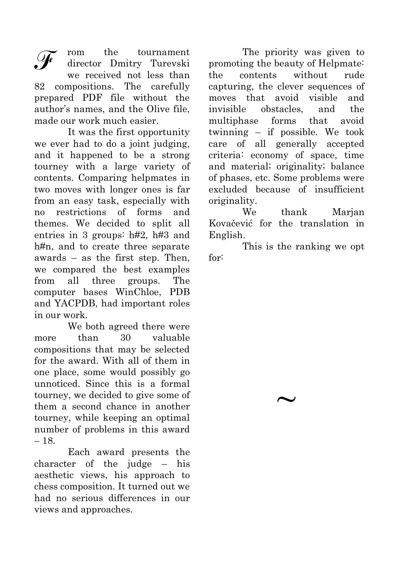rom the tournament director Dmitry Turevski we received not less than 82 compositions. The carefully prepared PDF file without the author's names, and the Olive file, made our work much easier.

It was the first opportunity we ever had to do a joint judging, and it happened to be a strong tourney with a large variety of contents. Comparing helpmates in two moves with longer ones is far from an easy task, especially with no restrictions of forms and themes. We decided to split all entries in 3 groups: h#2, h#3 and h#n, and to create three separate awards – as the first step. Then, we compared the best examples from all three groups. The computer bases WinChloe, PDB and YACPDB, had important roles in our work.

We both agreed there were more than 30 valuable compositions that may be selected for the award. With all of them in one place, some would possibly go unnoticed. Since this is a formal tourney, we decided to give some of them a second chance in another tourney, while keeping an optimal number of problems in this award – 18.

Each award presents the character of the judge – his aesthetic views, his approach to chess composition. It turned out we had no serious differences in our views and approaches.

The priority was given to promoting the beauty of Helpmate: the contents without rude capturing, the clever sequences of moves that avoid visible and invisible obstacles, and the multiphase forms that avoid twinning – if possible. We took care of all generally accepted criteria: economy of space, time and material; originality; balance of phases, etc. Some problems were excluded because of insufficient originality.

We thank Marjan Kovačević for the translation in English.

This is the ranking we opt for:

 $\sim$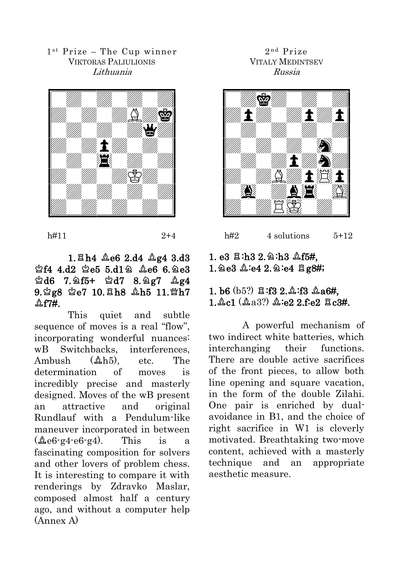1st Prize - The Cup winner VIKTORAS PALIULIONIS Lithuania



h#11 2+4

#### $1.$   $Bh4$   $Ae6$   $2.$ d4  $Ae4$   $3.$ d3  $$444. d2$   $$e55. d1\$  $$2e66.$  $$e3$  $\triangle$ d6 7. $\triangle$ f5+  $\triangle$ d7 8. $\triangle$ g7  $\triangle$ g4  $9.2g8$  2e7 10.8h8  $Ab5$  11. h7  $\Lambda$  f7#.

This quiet and subtle sequence of moves is a real "flow", incorporating wonderful nuances: wB Switchbacks, interferences, Ambush ( $\&$ h<sub>5</sub>), etc. The determination of moves is incredibly precise and masterly designed. Moves of the wB present an attractive and original Rundlauf with a Pendulum-like maneuver incorporated in between  $(\&e6 \cdot 94 \cdot e6 \cdot 94)$ . This is a fascinating composition for solvers and other lovers of problem chess. It is interesting to compare it with renderings by Zdravko Maslar, composed almost half a century ago, and without a computer help (Annex A)

#### 2 n d Prize VITALY MEDINTSEV Russia



#### $h#2$  4 solutions  $5+12$

#### 1. e3  $\Xi$ :h3 2. $\triangle$ :h3  $\triangle$ f5#,  $1.2e3$   $2.2e4$   $2.2e4$   $2.9e4$

#### 1. b6  $(b5?)$   $\Xi$ :f3 2. $\Delta$ :f3  $\Delta$ a6#,  $1.2c1$   $(2.32)$   $2.62$   $2.62$   $3.34$ .

A powerful mechanism of two indirect white batteries, which interchanging their functions. There are double active sacrifices of the front pieces, to allow both line opening and square vacation. in the form of the double Zilahi. One pair is enriched by dualavoidance in B1, and the choice of right sacrifice in W1 is cleverly motivated. Breathtaking two-move content, achieved with a masterly technique and an appropriate aesthetic measure.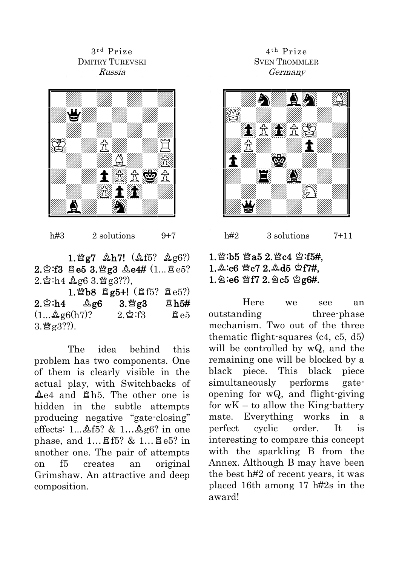3 r d Prize DMITRY TUREVSKI Russia



h#3  $2$  solutions  $9+7$ 

 $1.$  @  $g7$   $4h7!$   $(4f5?$   $4g6?)$  $2.\,$  $2.\,$  $3.\,$   $3.\,$   $4.\,$   $4.4$   $(1...\,$   $3.\,$   $e5$  $)$  $2.8$ :h4  $A.963$  $Mg3$ ??)

|                                       | 1. 2b8 $\frac{165!}{265!}$ (15? 2e5?) |             |
|---------------------------------------|---------------------------------------|-------------|
|                                       | 3. Yg3                                | <b>含h5#</b> |
| $(1 \& g6(h7)$ ?                      | $2.\mathbf{\&}:\mathrm{f}3$           | $\Xi$ e5    |
| $3.\mathbb{M}$ g $3\overset{?}{.}$ ). |                                       |             |

The idea behind this problem has two components. One of them is clearly visible in the actual play, with Switchbacks of  $\Delta$ e4 and  $\Delta$ h5. The other one is hidden in the subtle attempts producing negative "gate-closing" effects:  $1...4$ f5? &  $1...4$ g6? in one phase, and  $1...$   $85$ ? &  $1...$   $8e5$ ? in another one. The pair of attempts on f5 creates an original Grimshaw. An attractive and deep composition.

#### 4<sup>th</sup> Prize SVEN TROMMLER Germany



## $h#2$  3 solutions 7+11

#### 1. @:b5 @a5 2. @c4 &:f5#,  $1.\&:c6$   $\&c7$   $2.\&d5$   $\&f7#$ ,  $1.2:66$   $\mathfrak{B}7$   $2.2c5$   $\mathfrak{B}g$ 6#.

Here we see an outstanding three-phase mechanism. Two out of the three thematic flight-squares (c4, c5, d5) will be controlled by wQ, and the remaining one will be blocked by a black piece. This black piece simultaneously performs gateopening for wQ, and flight-giving for  $wK - t_0$  allow the King-battery mate. Everything works in a perfect cyclic order. It is interesting to compare this concept with the sparkling B from the Annex. Although B may have been the best h#2 of recent years, it was placed 16th among 17 h#2s in the award!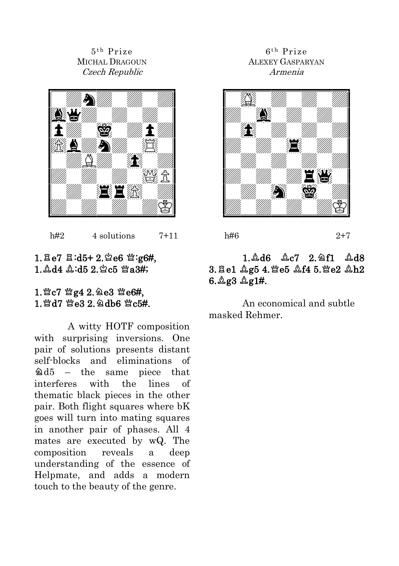$5^{\text{th}}$  Prize MICHAL DRAGOUN Czech Republic



 $h#2$  4 solutions 7+11

#### $1. \text{Be}7 \text{ Bi} \cdot \text{d}5 + 2. \text{Be}6 \text{ W} \cdot \text{g}6\text{H}$ ,  $1.$  $\Delta$ d4  $\Delta$ :d5  $2.$  $\Im$ c5  $\mathfrak{Ba}3\#$ ;

#### 1. 应c7 管g4 2. 鱼e3 管e6#, 1. Md7 Me3 2. Qdb6 Mc5#.

A witty HOTF composition with surprising inversions. One pair of solutions presents distant self-blocks and eliminations of  $\triangle 45$  – the same piece that interferes with the lines of thematic black pieces in the other pair. Both flight squares where bK goes will turn into mating squares in another pair of phases. All 4 mates are executed by wQ. The composition reveals a deep understanding of the essence of Helpmate, and adds a modern touch to the beauty of the genre.

#### 6<sup>th</sup> Prize ALEXEY GASPARYAN Armenia



h#6 2+7

#### 1.Ad6 Ac7 2.2f1 Ad8 3. Ee1 &g5 4. Fe5 &f4 5. Fe2 &h2  $6.\&83\&81\%.$

An economical and subtle masked Rehmer.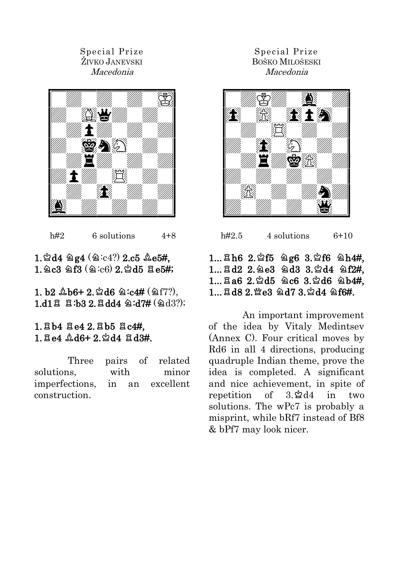#### Special Prize ŽIVKO JANEVSKI Macedonia



h#2 6 solutions  $4+8$ 

#### $1.2d4 \triangleq g4 \times (2:64)$  2.c5  $\triangleq$ e5#,  $1.2c3$   $9.3$   $(2.c6)$   $2.\,2.d5$   $7.6\,$ #;

1. b2  $\Delta$ b6+ 2.  $\Delta$ d6  $\Delta$ :c4# ( $\Delta$ f7?),  $1. d1 \nbox{ R : } b3 \nbox{ 2. R} d44 \nless 174 \nless 0.33$ 

#### $1.$  $Bb4$   $Be4$   $2.$  $Bb5$   $Bc4#$ ,  $1.$  $B.64$   $A.06+$   $2.$  $A.44$   $B.03#$ .

Three pairs of related solutions, with minor imperfections, in an excellent construction.

#### Special Prize BOŠKO MILOŠESKI Macedonia



 $h#2.5$  4 solutions  $6+10$ 

#### $1...$   $Bh6$   $2.\,2f5$   $2g6$   $3.\,2f6$   $2h4#$ ,  $1...$   $8d2$   $2.$   $2e3$   $2d3$   $3.$   $2d4$   $2f2#$ ,  $1...$  $8a6$   $2.\%$ d5  $\&c6$   $3.\%$ d6  $\&b4#$ .  $1...$   $848$   $2.$   $%$   $e3$   $@$   $d7$   $3.$   $%$   $d4$   $@$   $f6#$ .

An important improvement of the idea by Vitaly Medintsev (Annex C). Four critical moves by Rd6 in all 4 directions, producing quadruple Indian theme, prove the idea is completed. A significant and nice achievement, in spite of repetition of  $3.\,2\,d4$  in two solutions. The wPc7 is probably a misprint, while bRf7 instead of Bf8 & bPf7 may look nicer.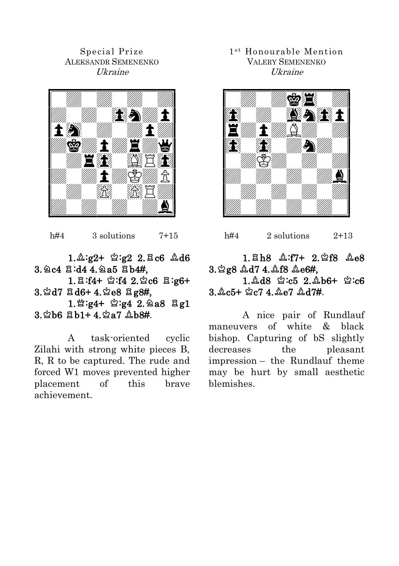Special Prize ALEKSANDR SEMENENKO Ukraine



 $h#4$  3 solutions 7+15

 $1.\&:g2+ \&:g2$  2. Ac6  $\&d6$  $3.2c4$   $3.444.2a5$   $3b4#$ .  $1. \boxtimes$  :f4+  $\cong$  :f4  $2.\cong$  c6  $\boxtimes$  :g6+  $3.\, \&\,$  d7  $\,\equiv$  d6+ 4. $\&\,$ e8  $\,\equiv$  g8#,  $1.$  \* :g4+  $\approx$  :g4 2. 2a8  $\Xi$  g1  $3.$   $\circ$ b6  $\overline{B}$ b1+ 4 $\circ$   $\circ$ a7  $\mathbb{A}$ b $\mathbb{A}$ #.

A task-oriented cyclic Zilahi with strong white pieces B, R, R to be captured. The rude and forced W1 moves prevented higher placement of this brave achievement.

#### 1<sup>st</sup> Honourable Mention VALERY SEMENENKO Ukraine



h#4  $2$  solutions  $2+13$ 

#### $1.\,Bh8$   $\&:f7+$   $2.\,2f8$   $\&e8$ 3.9g8 Ad7 4.4f8 Ae6#.  $1.48 \, \text{N} \cdot 5.2.46 + \text{N} \cdot 6$

 $3.$  Ac5+  $\&c7$  4. Ae7  $\&d7#$ .

A nice pair of Rundlauf maneuvers of white & black bishop. Capturing of bS slightly decreases the pleasant impression – the Rundlauf theme may be hurt by small aesthetic blemishes.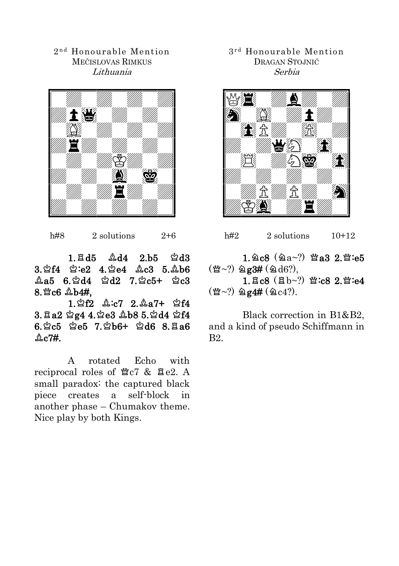2 n d Honourable Mention MEČISLOVAS RIMKUS Lithuania



h#8 2 solutions  $2+6$ 

 $1. \text{E} d5 \quad \text{\&} d4 \quad 2. \text{b}5 \quad \text{\&} d3$  $3.8f4 \quad \&: e2 \quad 4.8g4 \quad \&: c3 \quad 5.4h6$  $A_4 = 6.8d4$   $A_2 = 7.8c5 + 8c3$  $8.$   $%$  $c6$   $A$  $b4#$ .

 $1.$  $\%$ f2  $\&c7$   $2.\&a7+$   $\%$ f4  $3.8a2 \text{ } \text{ } \text{ } \text{ } 4.4 \text{ } \text{ } 4.8b8 \text{ } 5.2d4 \text{ } \text{ } 44$  $6.$  $\%$ c5  $\%$ e5 7. $\%$ b6+  $\%$ d6 8. $\%$ a6  $\&c7#$ .

A rotated Echo with reciprocal roles of  $CZ$   $CZ$   $R$   $Be2$ . A small paradox: the captured black piece creates a self-block in another phase – Chumakov theme. Nice play by both Kings.

3 r d Honourable Mention DRAGAN STOJNIĆ Serbia



h#2  $2$  solutions  $10+12$ 

1.2 $c8$  (2a~?)  $\mathfrak{Ba3}$  2. for  $\mathfrak{so}$  $(\mathfrak{B}~1)$   $\otimes$   $g3\#$  ( $\otimes$  d6?),  $1. \text{Ec8}$  ( $\text{Eb}-?$ )  $\mathfrak{B}:\text{c8}$   $2.\mathfrak{B}:\text{e4}$  $(\mathfrak{B}~1)$   $\otimes$   $\mathfrak{g}~4\#$  ( $\otimes$  c4?).

Black correction in B1&B2, and a kind of pseudo Schiffmann in B2.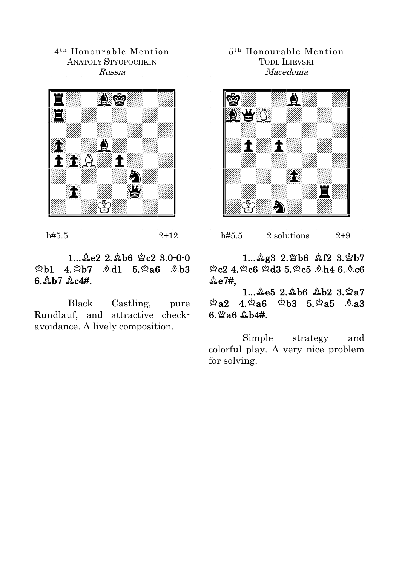4 t h Honourable Mention ANATOLY STYOPOCHKIN Russia



h#5.5 2+12

#### $1...$  $2e2$   $2.\&b6$   $2c2$   $3.0-0-0$  $2b1$  4.2 $b7$   $2d1$  5.2a6  $2b3$  $6.$   $\&b7$   $\&c4#$ .

Black Castling, pure Rundlauf, and attractive checkavoidance. A lively composition.

#### 5 t h Honourable Mention TODE ILIEVSKI Macedonia



h#5.5 2 solutions  $2+9$ 

1... Ag3 2. Wb6 Af2 3. Wb7  $2c2$  4.  $2c6$   $2d3$  5.  $2c5$   $4h4$  6.  $4c6$  $\&$ e7#,

 $1...$   $2e5$   $2.\&b6$   $\&b2$   $3.\&a7$  $\triangle$ a2 4. $\triangle$ a6  $\triangle$ b3 5. $\triangle$ a5  $\triangle$ a3  $6.$   $%$   $6.$   $A$   $A$   $A$   $A$ 

Simple strategy and colorful play. A very nice problem for solving.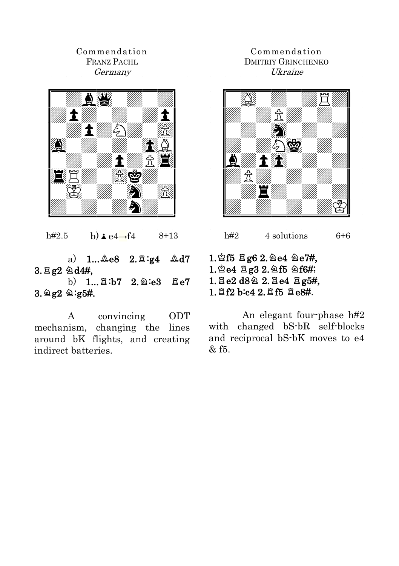#### Commendation FRANZ PACHL Germany



h#2.5 b) $\angle$ e4→f4 8+13

a)  $1...$  $2e8$   $2.\overline{2}:q4$   $2d7$  $3.8g2 \; \text{\AA}44,$ b)  $1...$  $8: b7$   $2.$  $2: e3$   $8: e7$ 

 $3.$   $9g2$   $9.95#$ .

A convincing ODT mechanism, changing the lines around bK flights, and creating indirect batteries.

#### Commendation DMITRIY GRINCHENKO Ukraine



h#2  $4$  solutions  $6+6$ 

 $1.$  $2f5$   $2g6$   $2.$   $2e4$   $2e7$ #,  $1.$  $2e4$   $Eg3$   $2.$   $2f5$   $2f6$ #;  $1.$  Ee2 d8 $\circ$  2. Ee4 Eg5#,  $1.7f2$  b:c4 2. $7f5$   $7e8#$ .

An elegant four-phase h#2 with changed bS-bR self-blocks and reciprocal bS-bK moves to e4  $&$  f5.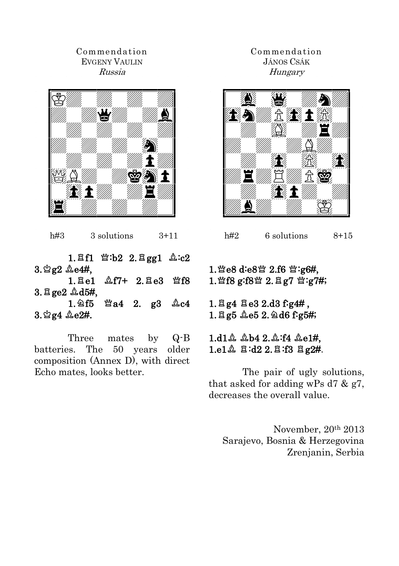#### Commendation EVGENY VAULIN Russia



h#3 3 solutions 3+11

1. $E1 \cong b2$  2. $E$ gg1  $\&c2$  $3.82$   $2.64$ .  $1.$   $Ee1$   $\&$   $f7+$   $2.$   $Ee3$   $\&$   $f8$  $3.$   $\Xi$  ge2  $\triangle$  d5#.  $1.\,2f5$   $\cong$  a4 2. g3  $\&c4$ 

 $3.$  $24.$  $2e2#$ .

Three mates by Q-B batteries. The 50 years older composition (Annex D), with direct Echo mates, looks better.

#### Commendation JÁNOS CSÁK Hungary



 $h#2$  6 solutions 8+15

#### 1. ie8 d:e8 if 2.f6 营:g6#, 1. 營f8 g:f8營 2. 且g7 營:g7#;

 $1.$   $\Xi$  g4  $\Xi$  e3 2.d3 f:g4#,  $1.$   $\Xi$  g5  $\&$  e5  $2.$   $\&$  d6 f: g5#;

 $1. d1$   $4. b4 2. 4. f4 4e1$ #, 1.e1 $\Delta$   $\Xi$ :d2 2. $\Xi$ :f3  $\Xi$  g2#.

The pair of ugly solutions, that asked for adding wPs d7 & g7, decreases the overall value.

November, 20th 2013 Sarajevo, Bosnia & Herzegovina Zrenjanin, Serbia